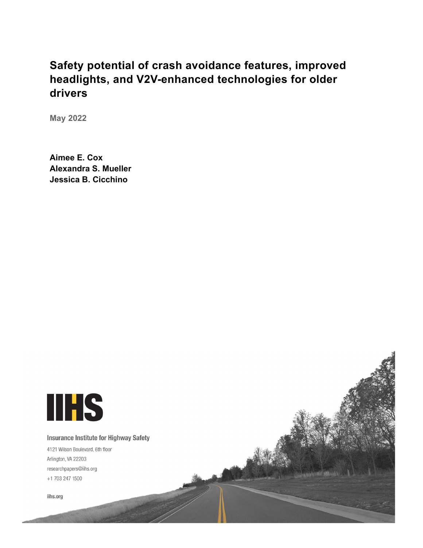# **Safety potential of crash avoidance features, improved headlights, and V2V-enhanced technologies for older drivers**

**May 2022**

**Aimee E. Cox Alexandra S. Mueller Jessica B. Cicchino**

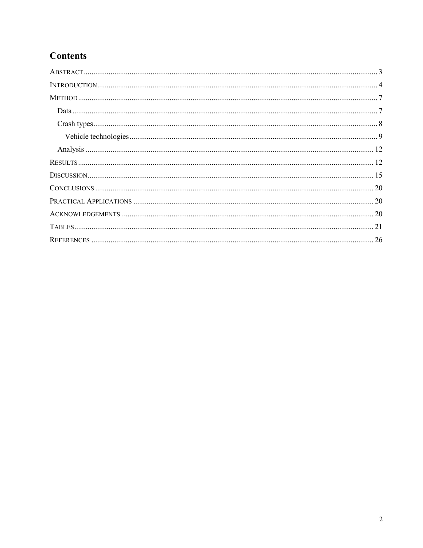## **Contents**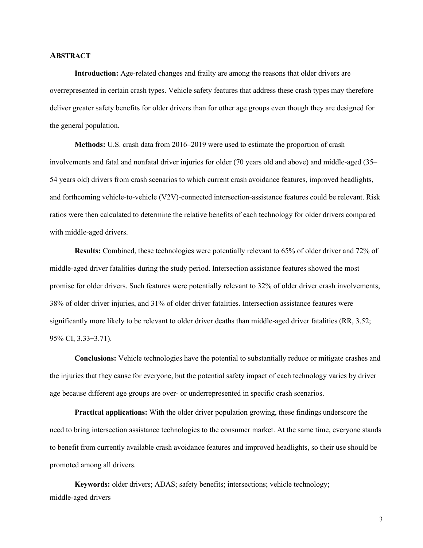#### <span id="page-2-0"></span>**ABSTRACT**

**Introduction:** Age-related changes and frailty are among the reasons that older drivers are overrepresented in certain crash types. Vehicle safety features that address these crash types may therefore deliver greater safety benefits for older drivers than for other age groups even though they are designed for the general population.

**Methods:** U.S. crash data from 2016–2019 were used to estimate the proportion of crash involvements and fatal and nonfatal driver injuries for older (70 years old and above) and middle-aged (35– 54 years old) drivers from crash scenarios to which current crash avoidance features, improved headlights, and forthcoming vehicle-to-vehicle (V2V)-connected intersection-assistance features could be relevant. Risk ratios were then calculated to determine the relative benefits of each technology for older drivers compared with middle-aged drivers.

**Results:** Combined, these technologies were potentially relevant to 65% of older driver and 72% of middle-aged driver fatalities during the study period. Intersection assistance features showed the most promise for older drivers. Such features were potentially relevant to 32% of older driver crash involvements, 38% of older driver injuries, and 31% of older driver fatalities. Intersection assistance features were significantly more likely to be relevant to older driver deaths than middle-aged driver fatalities (RR, 3.52; 95% CI, 3.33–3.71).

**Conclusions:** Vehicle technologies have the potential to substantially reduce or mitigate crashes and the injuries that they cause for everyone, but the potential safety impact of each technology varies by driver age because different age groups are over- or underrepresented in specific crash scenarios.

**Practical applications:** With the older driver population growing, these findings underscore the need to bring intersection assistance technologies to the consumer market. At the same time, everyone stands to benefit from currently available crash avoidance features and improved headlights, so their use should be promoted among all drivers.

**Keywords:** older drivers; ADAS; safety benefits; intersections; vehicle technology; middle-aged drivers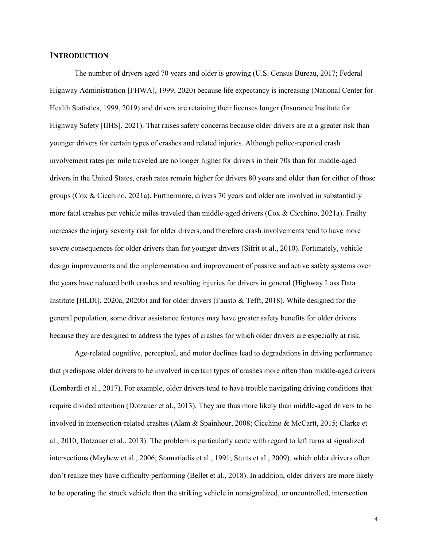#### <span id="page-3-0"></span>**INTRODUCTION**

The number of drivers aged 70 years and older is growing (U.S. Census Bureau, 2017; Federal Highway Administration [FHWA], 1999, 2020) because life expectancy is increasing (National Center for Health Statistics, 1999, 2019) and drivers are retaining their licenses longer (Insurance Institute for Highway Safety [IIHS], 2021). That raises safety concerns because older drivers are at a greater risk than younger drivers for certain types of crashes and related injuries. Although police-reported crash involvement rates per mile traveled are no longer higher for drivers in their 70s than for middle-aged drivers in the United States, crash rates remain higher for drivers 80 years and older than for either of those groups (Cox & Cicchino, 2021a). Furthermore, drivers 70 years and older are involved in substantially more fatal crashes per vehicle miles traveled than middle-aged drivers (Cox & Cicchino, 2021a). Frailty increases the injury severity risk for older drivers, and therefore crash involvements tend to have more severe consequences for older drivers than for younger drivers (Sifrit et al., 2010). Fortunately, vehicle design improvements and the implementation and improvement of passive and active safety systems over the years have reduced both crashes and resulting injuries for drivers in general (Highway Loss Data Institute [HLDI], 2020a, 2020b) and for older drivers (Fausto & Tefft, 2018). While designed for the general population, some driver assistance features may have greater safety benefits for older drivers because they are designed to address the types of crashes for which older drivers are especially at risk.

Age-related cognitive, perceptual, and motor declines lead to degradations in driving performance that predispose older drivers to be involved in certain types of crashes more often than middle-aged drivers (Lombardi et al., 2017). For example, older drivers tend to have trouble navigating driving conditions that require divided attention (Dotzauer et al., 2013). They are thus more likely than middle-aged drivers to be involved in intersection-related crashes (Alam & Spainhour, 2008; Cicchino & McCartt, 2015; Clarke et al., 2010; Dotzauer et al., 2013). The problem is particularly acute with regard to left turns at signalized intersections (Mayhew et al., 2006; Stamatiadis et al., 1991; Stutts et al., 2009), which older drivers often don't realize they have difficulty performing (Bellet et al., 2018). In addition, older drivers are more likely to be operating the struck vehicle than the striking vehicle in nonsignalized, or uncontrolled, intersection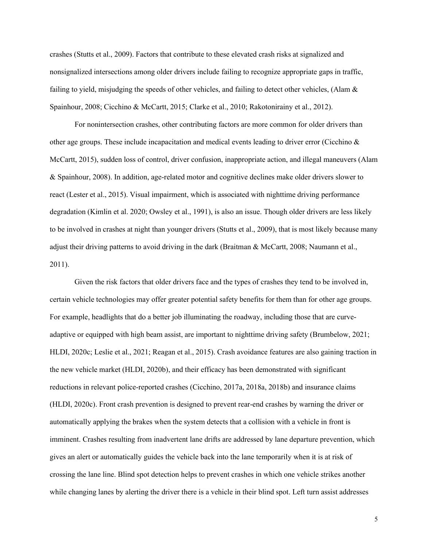crashes (Stutts et al., 2009). Factors that contribute to these elevated crash risks at signalized and nonsignalized intersections among older drivers include failing to recognize appropriate gaps in traffic, failing to yield, misjudging the speeds of other vehicles, and failing to detect other vehicles, (Alam & Spainhour, 2008; Cicchino & McCartt, 2015; Clarke et al., 2010; Rakotonirainy et al., 2012).

For nonintersection crashes, other contributing factors are more common for older drivers than other age groups. These include incapacitation and medical events leading to driver error (Cicchino & McCartt, 2015), sudden loss of control, driver confusion, inappropriate action, and illegal maneuvers (Alam & Spainhour, 2008). In addition, age-related motor and cognitive declines make older drivers slower to react (Lester et al., 2015). Visual impairment, which is associated with nighttime driving performance degradation (Kimlin et al. 2020; Owsley et al., 1991), is also an issue. Though older drivers are less likely to be involved in crashes at night than younger drivers (Stutts et al., 2009), that is most likely because many adjust their driving patterns to avoid driving in the dark (Braitman & McCartt, 2008; Naumann et al., 2011).

Given the risk factors that older drivers face and the types of crashes they tend to be involved in, certain vehicle technologies may offer greater potential safety benefits for them than for other age groups. For example, headlights that do a better job illuminating the roadway, including those that are curveadaptive or equipped with high beam assist, are important to nighttime driving safety (Brumbelow, 2021; HLDI, 2020c; Leslie et al., 2021; Reagan et al., 2015). Crash avoidance features are also gaining traction in the new vehicle market (HLDI, 2020b), and their efficacy has been demonstrated with significant reductions in relevant police-reported crashes (Cicchino, 2017a, 2018a, 2018b) and insurance claims (HLDI, 2020c). Front crash prevention is designed to prevent rear-end crashes by warning the driver or automatically applying the brakes when the system detects that a collision with a vehicle in front is imminent. Crashes resulting from inadvertent lane drifts are addressed by lane departure prevention, which gives an alert or automatically guides the vehicle back into the lane temporarily when it is at risk of crossing the lane line. Blind spot detection helps to prevent crashes in which one vehicle strikes another while changing lanes by alerting the driver there is a vehicle in their blind spot. Left turn assist addresses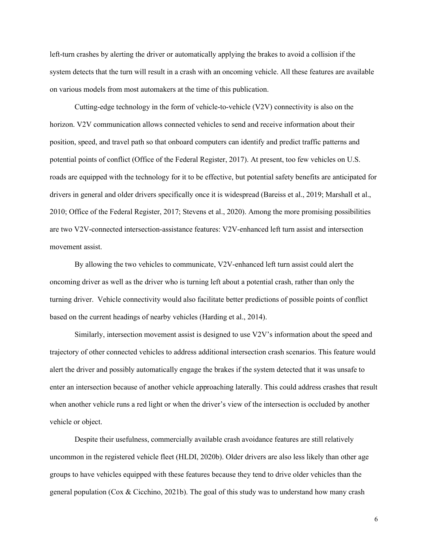left-turn crashes by alerting the driver or automatically applying the brakes to avoid a collision if the system detects that the turn will result in a crash with an oncoming vehicle. All these features are available on various models from most automakers at the time of this publication.

Cutting-edge technology in the form of vehicle-to-vehicle (V2V) connectivity is also on the horizon. V2V communication allows connected vehicles to send and receive information about their position, speed, and travel path so that onboard computers can identify and predict traffic patterns and potential points of conflict (Office of the Federal Register, 2017). At present, too few vehicles on U.S. roads are equipped with the technology for it to be effective, but potential safety benefits are anticipated for drivers in general and older drivers specifically once it is widespread (Bareiss et al., 2019; Marshall et al., 2010; Office of the Federal Register, 2017; Stevens et al., 2020). Among the more promising possibilities are two V2V-connected intersection-assistance features: V2V-enhanced left turn assist and intersection movement assist.

By allowing the two vehicles to communicate, V2V-enhanced left turn assist could alert the oncoming driver as well as the driver who is turning left about a potential crash, rather than only the turning driver. Vehicle connectivity would also facilitate better predictions of possible points of conflict based on the current headings of nearby vehicles (Harding et al., 2014).

Similarly, intersection movement assist is designed to use V2V's information about the speed and trajectory of other connected vehicles to address additional intersection crash scenarios. This feature would alert the driver and possibly automatically engage the brakes if the system detected that it was unsafe to enter an intersection because of another vehicle approaching laterally. This could address crashes that result when another vehicle runs a red light or when the driver's view of the intersection is occluded by another vehicle or object.

Despite their usefulness, commercially available crash avoidance features are still relatively uncommon in the registered vehicle fleet (HLDI, 2020b). Older drivers are also less likely than other age groups to have vehicles equipped with these features because they tend to drive older vehicles than the general population (Cox & Cicchino, 2021b). The goal of this study was to understand how many crash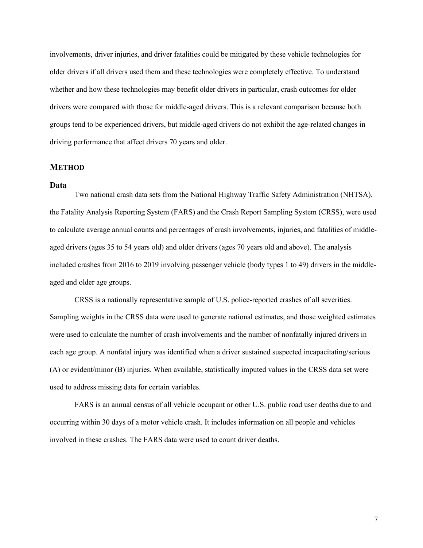involvements, driver injuries, and driver fatalities could be mitigated by these vehicle technologies for older drivers if all drivers used them and these technologies were completely effective. To understand whether and how these technologies may benefit older drivers in particular, crash outcomes for older drivers were compared with those for middle-aged drivers. This is a relevant comparison because both groups tend to be experienced drivers, but middle-aged drivers do not exhibit the age-related changes in driving performance that affect drivers 70 years and older.

#### <span id="page-6-0"></span>**METHOD**

#### <span id="page-6-1"></span>**Data**

Two national crash data sets from the National Highway Traffic Safety Administration (NHTSA), the Fatality Analysis Reporting System (FARS) and the Crash Report Sampling System (CRSS), were used to calculate average annual counts and percentages of crash involvements, injuries, and fatalities of middleaged drivers (ages 35 to 54 years old) and older drivers (ages 70 years old and above). The analysis included crashes from 2016 to 2019 involving passenger vehicle (body types 1 to 49) drivers in the middleaged and older age groups.

CRSS is a nationally representative sample of U.S. police-reported crashes of all severities. Sampling weights in the CRSS data were used to generate national estimates, and those weighted estimates were used to calculate the number of crash involvements and the number of nonfatally injured drivers in each age group. A nonfatal injury was identified when a driver sustained suspected incapacitating/serious (A) or evident/minor (B) injuries. When available, statistically imputed values in the CRSS data set were used to address missing data for certain variables.

FARS is an annual census of all vehicle occupant or other U.S. public road user deaths due to and occurring within 30 days of a motor vehicle crash. It includes information on all people and vehicles involved in these crashes. The FARS data were used to count driver deaths.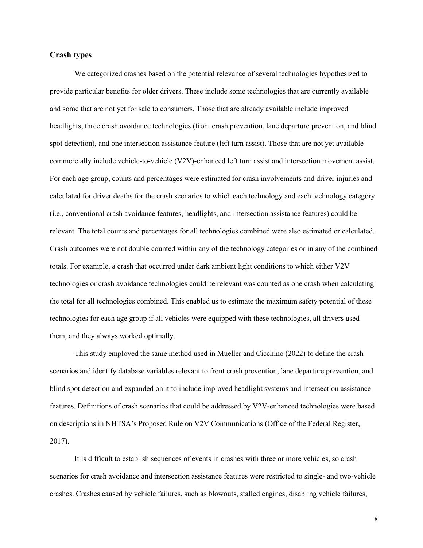#### <span id="page-7-0"></span>**Crash types**

We categorized crashes based on the potential relevance of several technologies hypothesized to provide particular benefits for older drivers. These include some technologies that are currently available and some that are not yet for sale to consumers. Those that are already available include improved headlights, three crash avoidance technologies (front crash prevention, lane departure prevention, and blind spot detection), and one intersection assistance feature (left turn assist). Those that are not yet available commercially include vehicle-to-vehicle (V2V)-enhanced left turn assist and intersection movement assist. For each age group, counts and percentages were estimated for crash involvements and driver injuries and calculated for driver deaths for the crash scenarios to which each technology and each technology category (i.e., conventional crash avoidance features, headlights, and intersection assistance features) could be relevant. The total counts and percentages for all technologies combined were also estimated or calculated. Crash outcomes were not double counted within any of the technology categories or in any of the combined totals. For example, a crash that occurred under dark ambient light conditions to which either V2V technologies or crash avoidance technologies could be relevant was counted as one crash when calculating the total for all technologies combined. This enabled us to estimate the maximum safety potential of these technologies for each age group if all vehicles were equipped with these technologies, all drivers used them, and they always worked optimally.

This study employed the same method used in Mueller and Cicchino (2022) to define the crash scenarios and identify database variables relevant to front crash prevention, lane departure prevention, and blind spot detection and expanded on it to include improved headlight systems and intersection assistance features. Definitions of crash scenarios that could be addressed by V2V-enhanced technologies were based on descriptions in NHTSA's Proposed Rule on V2V Communications (Office of the Federal Register, 2017).

It is difficult to establish sequences of events in crashes with three or more vehicles, so crash scenarios for crash avoidance and intersection assistance features were restricted to single- and two-vehicle crashes. Crashes caused by vehicle failures, such as blowouts, stalled engines, disabling vehicle failures,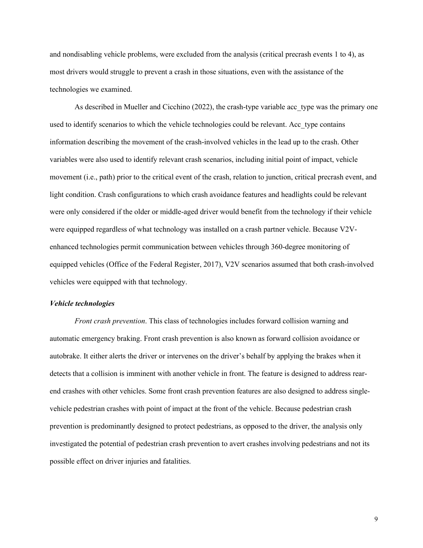and nondisabling vehicle problems, were excluded from the analysis (critical precrash events 1 to 4), as most drivers would struggle to prevent a crash in those situations, even with the assistance of the technologies we examined.

As described in Mueller and Cicchino (2022), the crash-type variable acc type was the primary one used to identify scenarios to which the vehicle technologies could be relevant. Acc\_type contains information describing the movement of the crash-involved vehicles in the lead up to the crash. Other variables were also used to identify relevant crash scenarios, including initial point of impact, vehicle movement (i.e., path) prior to the critical event of the crash, relation to junction, critical precrash event, and light condition. Crash configurations to which crash avoidance features and headlights could be relevant were only considered if the older or middle-aged driver would benefit from the technology if their vehicle were equipped regardless of what technology was installed on a crash partner vehicle. Because V2Venhanced technologies permit communication between vehicles through 360-degree monitoring of equipped vehicles (Office of the Federal Register, 2017), V2V scenarios assumed that both crash-involved vehicles were equipped with that technology.

#### <span id="page-8-0"></span>*Vehicle technologies*

*Front crash prevention*. This class of technologies includes forward collision warning and automatic emergency braking. Front crash prevention is also known as forward collision avoidance or autobrake. It either alerts the driver or intervenes on the driver's behalf by applying the brakes when it detects that a collision is imminent with another vehicle in front. The feature is designed to address rearend crashes with other vehicles. Some front crash prevention features are also designed to address singlevehicle pedestrian crashes with point of impact at the front of the vehicle. Because pedestrian crash prevention is predominantly designed to protect pedestrians, as opposed to the driver, the analysis only investigated the potential of pedestrian crash prevention to avert crashes involving pedestrians and not its possible effect on driver injuries and fatalities.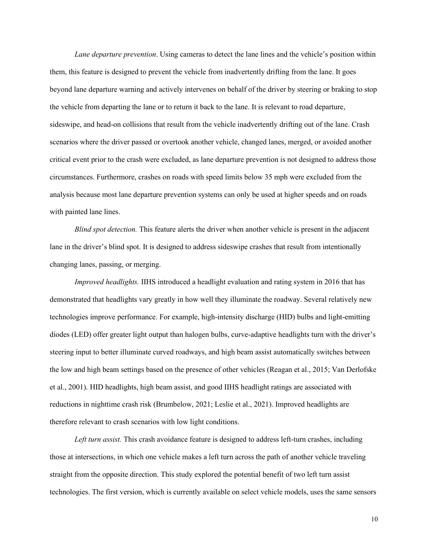*Lane departure prevention*. Using cameras to detect the lane lines and the vehicle's position within them, this feature is designed to prevent the vehicle from inadvertently drifting from the lane. It goes beyond lane departure warning and actively intervenes on behalf of the driver by steering or braking to stop the vehicle from departing the lane or to return it back to the lane. It is relevant to road departure, sideswipe, and head-on collisions that result from the vehicle inadvertently drifting out of the lane. Crash scenarios where the driver passed or overtook another vehicle, changed lanes, merged, or avoided another critical event prior to the crash were excluded, as lane departure prevention is not designed to address those circumstances. Furthermore, crashes on roads with speed limits below 35 mph were excluded from the analysis because most lane departure prevention systems can only be used at higher speeds and on roads with painted lane lines.

*Blind spot detection.* This feature alerts the driver when another vehicle is present in the adjacent lane in the driver's blind spot. It is designed to address sideswipe crashes that result from intentionally changing lanes, passing, or merging.

*Improved headlights.* IIHS introduced a headlight evaluation and rating system in 2016 that has demonstrated that headlights vary greatly in how well they illuminate the roadway. Several relatively new technologies improve performance. For example, high-intensity discharge (HID) bulbs and light-emitting diodes (LED) offer greater light output than halogen bulbs, curve-adaptive headlights turn with the driver's steering input to better illuminate curved roadways, and high beam assist automatically switches between the low and high beam settings based on the presence of other vehicles (Reagan et al., 2015; Van Derlofske et al., 2001). HID headlights, high beam assist, and good IIHS headlight ratings are associated with reductions in nighttime crash risk (Brumbelow, 2021; Leslie et al., 2021). Improved headlights are therefore relevant to crash scenarios with low light conditions.

Left turn assist. This crash avoidance feature is designed to address left-turn crashes, including those at intersections, in which one vehicle makes a left turn across the path of another vehicle traveling straight from the opposite direction. This study explored the potential benefit of two left turn assist technologies. The first version, which is currently available on select vehicle models, uses the same sensors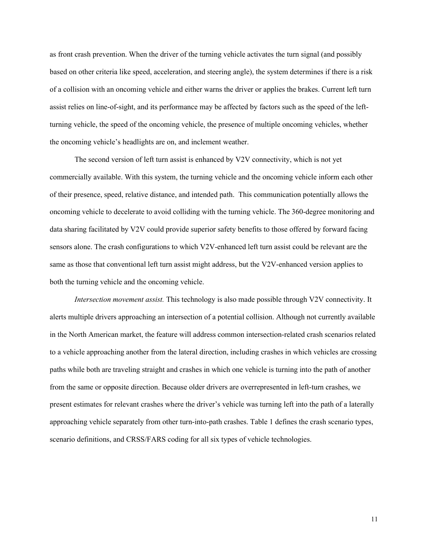as front crash prevention. When the driver of the turning vehicle activates the turn signal (and possibly based on other criteria like speed, acceleration, and steering angle), the system determines if there is a risk of a collision with an oncoming vehicle and either warns the driver or applies the brakes. Current left turn assist relies on line-of-sight, and its performance may be affected by factors such as the speed of the leftturning vehicle, the speed of the oncoming vehicle, the presence of multiple oncoming vehicles, whether the oncoming vehicle's headlights are on, and inclement weather.

The second version of left turn assist is enhanced by V2V connectivity, which is not yet commercially available. With this system, the turning vehicle and the oncoming vehicle inform each other of their presence, speed, relative distance, and intended path. This communication potentially allows the oncoming vehicle to decelerate to avoid colliding with the turning vehicle. The 360-degree monitoring and data sharing facilitated by V2V could provide superior safety benefits to those offered by forward facing sensors alone. The crash configurations to which V2V-enhanced left turn assist could be relevant are the same as those that conventional left turn assist might address, but the V2V-enhanced version applies to both the turning vehicle and the oncoming vehicle.

*Intersection movement assist.* This technology is also made possible through V2V connectivity. It alerts multiple drivers approaching an intersection of a potential collision. Although not currently available in the North American market, the feature will address common intersection-related crash scenarios related to a vehicle approaching another from the lateral direction, including crashes in which vehicles are crossing paths while both are traveling straight and crashes in which one vehicle is turning into the path of another from the same or opposite direction. Because older drivers are overrepresented in left-turn crashes, we present estimates for relevant crashes where the driver's vehicle was turning left into the path of a laterally approaching vehicle separately from other turn-into-path crashes. Table 1 defines the crash scenario types, scenario definitions, and CRSS/FARS coding for all six types of vehicle technologies.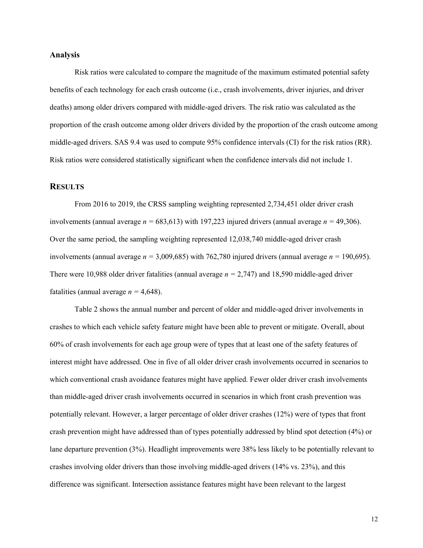#### <span id="page-11-0"></span>**Analysis**

Risk ratios were calculated to compare the magnitude of the maximum estimated potential safety benefits of each technology for each crash outcome (i.e., crash involvements, driver injuries, and driver deaths) among older drivers compared with middle-aged drivers. The risk ratio was calculated as the proportion of the crash outcome among older drivers divided by the proportion of the crash outcome among middle-aged drivers. SAS 9.4 was used to compute 95% confidence intervals (CI) for the risk ratios (RR). Risk ratios were considered statistically significant when the confidence intervals did not include 1.

## <span id="page-11-1"></span>**RESULTS**

From 2016 to 2019, the CRSS sampling weighting represented 2,734,451 older driver crash involvements (annual average *n =* 683,613) with 197,223 injured drivers (annual average *n =* 49,306). Over the same period, the sampling weighting represented 12,038,740 middle-aged driver crash involvements (annual average *n =* 3,009,685) with 762,780 injured drivers (annual average *n =* 190,695). There were 10,988 older driver fatalities (annual average *n =* 2,747) and 18,590 middle-aged driver fatalities (annual average  $n = 4,648$ ).

Table 2 shows the annual number and percent of older and middle-aged driver involvements in crashes to which each vehicle safety feature might have been able to prevent or mitigate. Overall, about 60% of crash involvements for each age group were of types that at least one of the safety features of interest might have addressed. One in five of all older driver crash involvements occurred in scenarios to which conventional crash avoidance features might have applied. Fewer older driver crash involvements than middle-aged driver crash involvements occurred in scenarios in which front crash prevention was potentially relevant. However, a larger percentage of older driver crashes (12%) were of types that front crash prevention might have addressed than of types potentially addressed by blind spot detection (4%) or lane departure prevention (3%). Headlight improvements were 38% less likely to be potentially relevant to crashes involving older drivers than those involving middle-aged drivers (14% vs. 23%), and this difference was significant. Intersection assistance features might have been relevant to the largest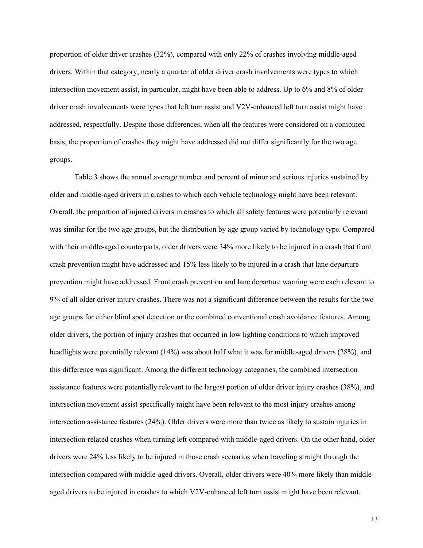proportion of older driver crashes (32%), compared with only 22% of crashes involving middle-aged drivers. Within that category, nearly a quarter of older driver crash involvements were types to which intersection movement assist, in particular, might have been able to address. Up to 6% and 8% of older driver crash involvements were types that left turn assist and V2V-enhanced left turn assist might have addressed, respectfully. Despite those differences, when all the features were considered on a combined basis, the proportion of crashes they might have addressed did not differ significantly for the two age groups.

Table 3 shows the annual average number and percent of minor and serious injuries sustained by older and middle-aged drivers in crashes to which each vehicle technology might have been relevant. Overall, the proportion of injured drivers in crashes to which all safety features were potentially relevant was similar for the two age groups, but the distribution by age group varied by technology type. Compared with their middle-aged counterparts, older drivers were 34% more likely to be injured in a crash that front crash prevention might have addressed and 15% less likely to be injured in a crash that lane departure prevention might have addressed. Front crash prevention and lane departure warning were each relevant to 9% of all older driver injury crashes. There was not a significant difference between the results for the two age groups for either blind spot detection or the combined conventional crash avoidance features. Among older drivers, the portion of injury crashes that occurred in low lighting conditions to which improved headlights were potentially relevant (14%) was about half what it was for middle-aged drivers (28%), and this difference was significant. Among the different technology categories, the combined intersection assistance features were potentially relevant to the largest portion of older driver injury crashes (38%), and intersection movement assist specifically might have been relevant to the most injury crashes among intersection assistance features (24%). Older drivers were more than twice as likely to sustain injuries in intersection-related crashes when turning left compared with middle-aged drivers. On the other hand, older drivers were 24% less likely to be injured in those crash scenarios when traveling straight through the intersection compared with middle-aged drivers. Overall, older drivers were 40% more likely than middleaged drivers to be injured in crashes to which V2V-enhanced left turn assist might have been relevant.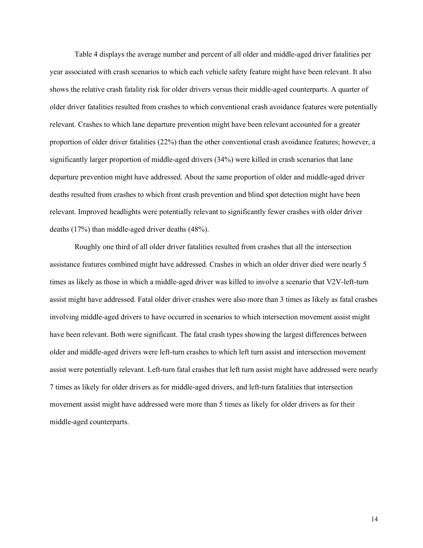Table 4 displays the average number and percent of all older and middle-aged driver fatalities per year associated with crash scenarios to which each vehicle safety feature might have been relevant. It also shows the relative crash fatality risk for older drivers versus their middle-aged counterparts. A quarter of older driver fatalities resulted from crashes to which conventional crash avoidance features were potentially relevant. Crashes to which lane departure prevention might have been relevant accounted for a greater proportion of older driver fatalities (22%) than the other conventional crash avoidance features; however, a significantly larger proportion of middle-aged drivers (34%) were killed in crash scenarios that lane departure prevention might have addressed. About the same proportion of older and middle-aged driver deaths resulted from crashes to which front crash prevention and blind spot detection might have been relevant. Improved headlights were potentially relevant to significantly fewer crashes with older driver deaths (17%) than middle-aged driver deaths (48%).

Roughly one third of all older driver fatalities resulted from crashes that all the intersection assistance features combined might have addressed. Crashes in which an older driver died were nearly 5 times as likely as those in which a middle-aged driver was killed to involve a scenario that V2V-left-turn assist might have addressed. Fatal older driver crashes were also more than 3 times as likely as fatal crashes involving middle-aged drivers to have occurred in scenarios to which intersection movement assist might have been relevant. Both were significant. The fatal crash types showing the largest differences between older and middle-aged drivers were left-turn crashes to which left turn assist and intersection movement assist were potentially relevant. Left-turn fatal crashes that left turn assist might have addressed were nearly 7 times as likely for older drivers as for middle-aged drivers, and left-turn fatalities that intersection movement assist might have addressed were more than 5 times as likely for older drivers as for their middle-aged counterparts.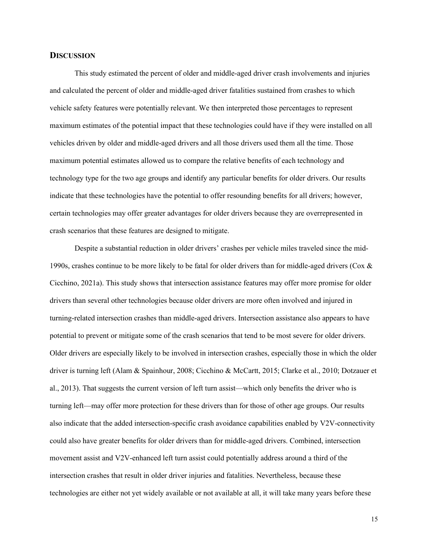#### <span id="page-14-0"></span>**DISCUSSION**

This study estimated the percent of older and middle-aged driver crash involvements and injuries and calculated the percent of older and middle-aged driver fatalities sustained from crashes to which vehicle safety features were potentially relevant. We then interpreted those percentages to represent maximum estimates of the potential impact that these technologies could have if they were installed on all vehicles driven by older and middle-aged drivers and all those drivers used them all the time. Those maximum potential estimates allowed us to compare the relative benefits of each technology and technology type for the two age groups and identify any particular benefits for older drivers. Our results indicate that these technologies have the potential to offer resounding benefits for all drivers; however, certain technologies may offer greater advantages for older drivers because they are overrepresented in crash scenarios that these features are designed to mitigate.

Despite a substantial reduction in older drivers' crashes per vehicle miles traveled since the mid-1990s, crashes continue to be more likely to be fatal for older drivers than for middle-aged drivers (Cox & Cicchino, 2021a). This study shows that intersection assistance features may offer more promise for older drivers than several other technologies because older drivers are more often involved and injured in turning-related intersection crashes than middle-aged drivers. Intersection assistance also appears to have potential to prevent or mitigate some of the crash scenarios that tend to be most severe for older drivers. Older drivers are especially likely to be involved in intersection crashes, especially those in which the older driver is turning left (Alam & Spainhour, 2008; Cicchino & McCartt, 2015; Clarke et al., 2010; Dotzauer et al., 2013). That suggests the current version of left turn assist—which only benefits the driver who is turning left—may offer more protection for these drivers than for those of other age groups. Our results also indicate that the added intersection-specific crash avoidance capabilities enabled by V2V-connectivity could also have greater benefits for older drivers than for middle-aged drivers. Combined, intersection movement assist and V2V-enhanced left turn assist could potentially address around a third of the intersection crashes that result in older driver injuries and fatalities. Nevertheless, because these technologies are either not yet widely available or not available at all, it will take many years before these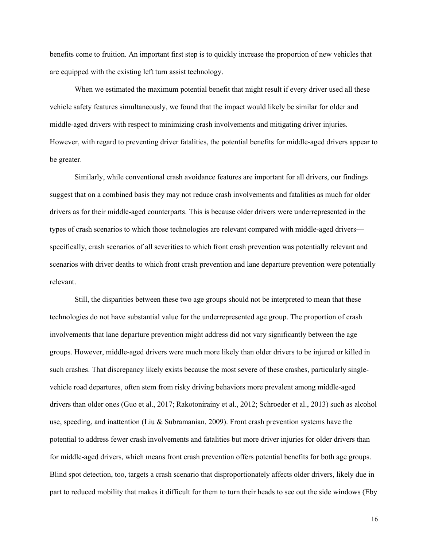benefits come to fruition. An important first step is to quickly increase the proportion of new vehicles that are equipped with the existing left turn assist technology.

When we estimated the maximum potential benefit that might result if every driver used all these vehicle safety features simultaneously, we found that the impact would likely be similar for older and middle-aged drivers with respect to minimizing crash involvements and mitigating driver injuries. However, with regard to preventing driver fatalities, the potential benefits for middle-aged drivers appear to be greater.

Similarly, while conventional crash avoidance features are important for all drivers, our findings suggest that on a combined basis they may not reduce crash involvements and fatalities as much for older drivers as for their middle-aged counterparts. This is because older drivers were underrepresented in the types of crash scenarios to which those technologies are relevant compared with middle-aged drivers specifically, crash scenarios of all severities to which front crash prevention was potentially relevant and scenarios with driver deaths to which front crash prevention and lane departure prevention were potentially relevant.

Still, the disparities between these two age groups should not be interpreted to mean that these technologies do not have substantial value for the underrepresented age group. The proportion of crash involvements that lane departure prevention might address did not vary significantly between the age groups. However, middle-aged drivers were much more likely than older drivers to be injured or killed in such crashes. That discrepancy likely exists because the most severe of these crashes, particularly singlevehicle road departures, often stem from risky driving behaviors more prevalent among middle-aged drivers than older ones (Guo et al., 2017; Rakotonirainy et al., 2012; Schroeder et al., 2013) such as alcohol use, speeding, and inattention (Liu & Subramanian, 2009). Front crash prevention systems have the potential to address fewer crash involvements and fatalities but more driver injuries for older drivers than for middle-aged drivers, which means front crash prevention offers potential benefits for both age groups. Blind spot detection, too, targets a crash scenario that disproportionately affects older drivers, likely due in part to reduced mobility that makes it difficult for them to turn their heads to see out the side windows (Eby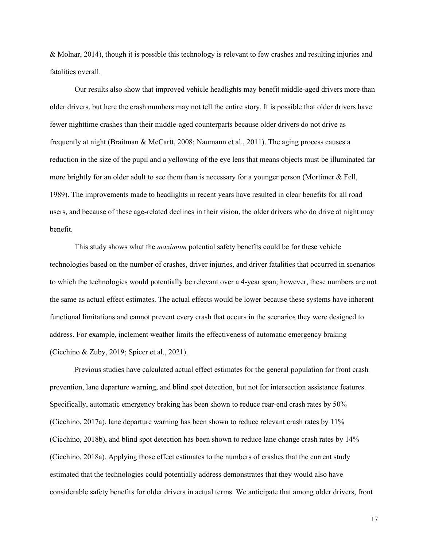& Molnar, 2014), though it is possible this technology is relevant to few crashes and resulting injuries and fatalities overall.

Our results also show that improved vehicle headlights may benefit middle-aged drivers more than older drivers, but here the crash numbers may not tell the entire story. It is possible that older drivers have fewer nighttime crashes than their middle-aged counterparts because older drivers do not drive as frequently at night (Braitman & McCartt, 2008; Naumann et al., 2011). The aging process causes a reduction in the size of the pupil and a yellowing of the eye lens that means objects must be illuminated far more brightly for an older adult to see them than is necessary for a younger person (Mortimer & Fell, 1989). The improvements made to headlights in recent years have resulted in clear benefits for all road users, and because of these age-related declines in their vision, the older drivers who do drive at night may benefit.

This study shows what the *maximum* potential safety benefits could be for these vehicle technologies based on the number of crashes, driver injuries, and driver fatalities that occurred in scenarios to which the technologies would potentially be relevant over a 4-year span; however, these numbers are not the same as actual effect estimates. The actual effects would be lower because these systems have inherent functional limitations and cannot prevent every crash that occurs in the scenarios they were designed to address. For example, inclement weather limits the effectiveness of automatic emergency braking (Cicchino & Zuby, 2019; Spicer et al., 2021).

Previous studies have calculated actual effect estimates for the general population for front crash prevention, lane departure warning, and blind spot detection, but not for intersection assistance features. Specifically, automatic emergency braking has been shown to reduce rear-end crash rates by 50% (Cicchino, 2017a), lane departure warning has been shown to reduce relevant crash rates by 11% (Cicchino, 2018b), and blind spot detection has been shown to reduce lane change crash rates by 14% (Cicchino, 2018a). Applying those effect estimates to the numbers of crashes that the current study estimated that the technologies could potentially address demonstrates that they would also have considerable safety benefits for older drivers in actual terms. We anticipate that among older drivers, front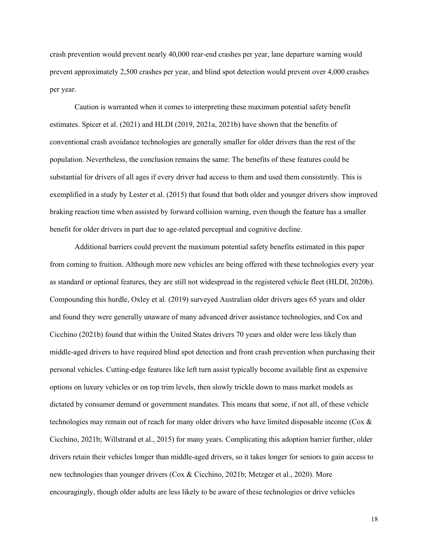crash prevention would prevent nearly 40,000 rear-end crashes per year, lane departure warning would prevent approximately 2,500 crashes per year, and blind spot detection would prevent over 4,000 crashes per year.

Caution is warranted when it comes to interpreting these maximum potential safety benefit estimates. Spicer et al. (2021) and HLDI (2019, 2021a, 2021b) have shown that the benefits of conventional crash avoidance technologies are generally smaller for older drivers than the rest of the population. Nevertheless, the conclusion remains the same: The benefits of these features could be substantial for drivers of all ages if every driver had access to them and used them consistently. This is exemplified in a study by Lester et al. (2015) that found that both older and younger drivers show improved braking reaction time when assisted by forward collision warning, even though the feature has a smaller benefit for older drivers in part due to age-related perceptual and cognitive decline.

Additional barriers could prevent the maximum potential safety benefits estimated in this paper from coming to fruition. Although more new vehicles are being offered with these technologies every year as standard or optional features, they are still not widespread in the registered vehicle fleet (HLDI, 2020b). Compounding this hurdle, Oxley et al. (2019) surveyed Australian older drivers ages 65 years and older and found they were generally unaware of many advanced driver assistance technologies, and Cox and Cicchino (2021b) found that within the United States drivers 70 years and older were less likely than middle-aged drivers to have required blind spot detection and front crash prevention when purchasing their personal vehicles. Cutting-edge features like left turn assist typically become available first as expensive options on luxury vehicles or on top trim levels, then slowly trickle down to mass market models as dictated by consumer demand or government mandates. This means that some, if not all, of these vehicle technologies may remain out of reach for many older drivers who have limited disposable income (Cox & Cicchino, 2021b; Willstrand et al., 2015) for many years. Complicating this adoption barrier further, older drivers retain their vehicles longer than middle-aged drivers, so it takes longer for seniors to gain access to new technologies than younger drivers (Cox & Cicchino, 2021b; Metzger et al., 2020). More encouragingly, though older adults are less likely to be aware of these technologies or drive vehicles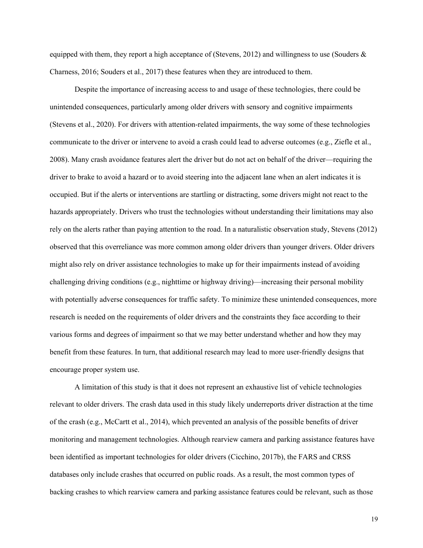equipped with them, they report a high acceptance of (Stevens, 2012) and willingness to use (Souders  $\&$ Charness, 2016; Souders et al., 2017) these features when they are introduced to them.

Despite the importance of increasing access to and usage of these technologies, there could be unintended consequences, particularly among older drivers with sensory and cognitive impairments (Stevens et al., 2020). For drivers with attention-related impairments, the way some of these technologies communicate to the driver or intervene to avoid a crash could lead to adverse outcomes (e.g., Ziefle et al., 2008). Many crash avoidance features alert the driver but do not act on behalf of the driver—requiring the driver to brake to avoid a hazard or to avoid steering into the adjacent lane when an alert indicates it is occupied. But if the alerts or interventions are startling or distracting, some drivers might not react to the hazards appropriately. Drivers who trust the technologies without understanding their limitations may also rely on the alerts rather than paying attention to the road. In a naturalistic observation study, Stevens (2012) observed that this overreliance was more common among older drivers than younger drivers. Older drivers might also rely on driver assistance technologies to make up for their impairments instead of avoiding challenging driving conditions (e.g., nighttime or highway driving)—increasing their personal mobility with potentially adverse consequences for traffic safety. To minimize these unintended consequences, more research is needed on the requirements of older drivers and the constraints they face according to their various forms and degrees of impairment so that we may better understand whether and how they may benefit from these features. In turn, that additional research may lead to more user-friendly designs that encourage proper system use.

A limitation of this study is that it does not represent an exhaustive list of vehicle technologies relevant to older drivers. The crash data used in this study likely underreports driver distraction at the time of the crash (e.g., McCartt et al., 2014), which prevented an analysis of the possible benefits of driver monitoring and management technologies. Although rearview camera and parking assistance features have been identified as important technologies for older drivers (Cicchino, 2017b), the FARS and CRSS databases only include crashes that occurred on public roads. As a result, the most common types of backing crashes to which rearview camera and parking assistance features could be relevant, such as those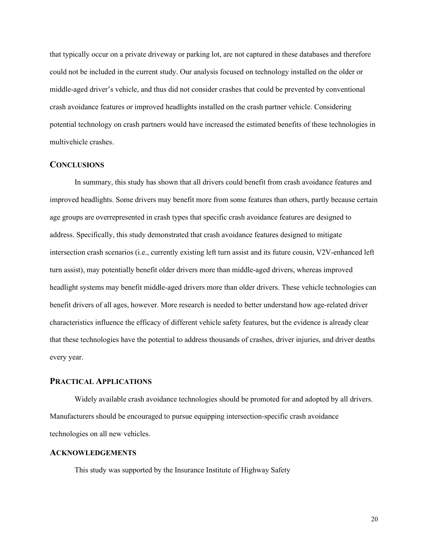that typically occur on a private driveway or parking lot, are not captured in these databases and therefore could not be included in the current study. Our analysis focused on technology installed on the older or middle-aged driver's vehicle, and thus did not consider crashes that could be prevented by conventional crash avoidance features or improved headlights installed on the crash partner vehicle. Considering potential technology on crash partners would have increased the estimated benefits of these technologies in multivehicle crashes.

#### <span id="page-19-0"></span>**CONCLUSIONS**

In summary, this study has shown that all drivers could benefit from crash avoidance features and improved headlights. Some drivers may benefit more from some features than others, partly because certain age groups are overrepresented in crash types that specific crash avoidance features are designed to address. Specifically, this study demonstrated that crash avoidance features designed to mitigate intersection crash scenarios (i.e., currently existing left turn assist and its future cousin, V2V-enhanced left turn assist), may potentially benefit older drivers more than middle-aged drivers, whereas improved headlight systems may benefit middle-aged drivers more than older drivers. These vehicle technologies can benefit drivers of all ages, however. More research is needed to better understand how age-related driver characteristics influence the efficacy of different vehicle safety features, but the evidence is already clear that these technologies have the potential to address thousands of crashes, driver injuries, and driver deaths every year.

### <span id="page-19-1"></span>**PRACTICAL APPLICATIONS**

Widely available crash avoidance technologies should be promoted for and adopted by all drivers. Manufacturers should be encouraged to pursue equipping intersection-specific crash avoidance technologies on all new vehicles.

#### <span id="page-19-2"></span>**ACKNOWLEDGEMENTS**

This study was supported by the Insurance Institute of Highway Safety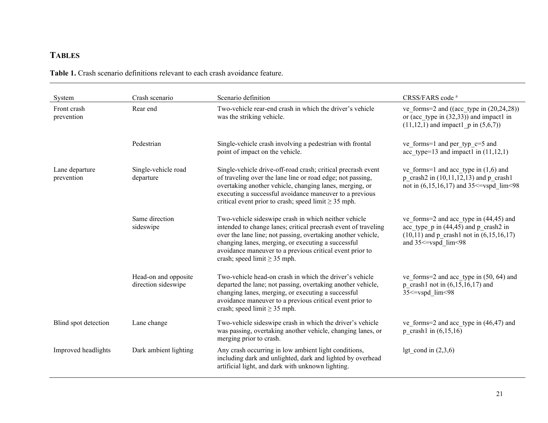## **TABLES**

**Table 1.** Crash scenario definitions relevant to each crash avoidance feature.

<span id="page-20-0"></span>

| System                       | Crash scenario                              | Scenario definition                                                                                                                                                                                                                                                                                                                           | CRSS/FARS code <sup>a</sup>                                                                                                                                     |
|------------------------------|---------------------------------------------|-----------------------------------------------------------------------------------------------------------------------------------------------------------------------------------------------------------------------------------------------------------------------------------------------------------------------------------------------|-----------------------------------------------------------------------------------------------------------------------------------------------------------------|
| Front crash<br>prevention    | Rear end                                    | Two-vehicle rear-end crash in which the driver's vehicle<br>was the striking vehicle.                                                                                                                                                                                                                                                         | ve forms=2 and ((acc type in $(20,24,28)$ )<br>or (acc type in $(32,33)$ ) and impact1 in<br>$(11, 12, 1)$ and impact $p$ in $(5, 6, 7)$                        |
|                              | Pedestrian                                  | Single-vehicle crash involving a pedestrian with frontal<br>point of impact on the vehicle.                                                                                                                                                                                                                                                   | ve forms=1 and per typ $c=5$ and<br>acc type=13 and impact1 in $(11,12,1)$                                                                                      |
| Lane departure<br>prevention | Single-vehicle road<br>departure            | Single-vehicle drive-off-road crash; critical precrash event<br>of traveling over the lane line or road edge; not passing,<br>overtaking another vehicle, changing lanes, merging, or<br>executing a successful avoidance maneuver to a previous<br>critical event prior to crash; speed limit $\geq$ 35 mph.                                 | ve_forms=1 and acc_type in $(1,6)$ and<br>p crash2 in $(10,11,12,13)$ and p crash1<br>not in $(6,15,16,17)$ and 35 <= vspd lim < 98                             |
|                              | Same direction<br>sideswipe                 | Two-vehicle sideswipe crash in which neither vehicle<br>intended to change lanes; critical precrash event of traveling<br>over the lane line; not passing, overtaking another vehicle,<br>changing lanes, merging, or executing a successful<br>avoidance maneuver to a previous critical event prior to<br>crash; speed limit $\geq$ 35 mph. | ve forms=2 and acc type in $(44, 45)$ and<br>acc type $p$ in (44,45) and $p$ crash2 in<br>$(10,11)$ and p crash1 not in $(6,15,16,17)$<br>and 35 <= vspd lim<98 |
|                              | Head-on and opposite<br>direction sideswipe | Two-vehicle head-on crash in which the driver's vehicle<br>departed the lane; not passing, overtaking another vehicle,<br>changing lanes, merging, or executing a successful<br>avoidance maneuver to a previous critical event prior to<br>crash; speed limit $\geq$ 35 mph.                                                                 | ve_forms=2 and acc_type in $(50, 64)$ and<br>p crash1 not in $(6,15,16,17)$ and<br>35<=vspd lim<98                                                              |
| Blind spot detection         | Lane change                                 | Two-vehicle sideswipe crash in which the driver's vehicle<br>was passing, overtaking another vehicle, changing lanes, or<br>merging prior to crash.                                                                                                                                                                                           | ve forms=2 and acc type in $(46, 47)$ and<br>p crash1 in $(6,15,16)$                                                                                            |
| Improved headlights          | Dark ambient lighting                       | Any crash occurring in low ambient light conditions,<br>including dark and unlighted, dark and lighted by overhead<br>artificial light, and dark with unknown lighting.                                                                                                                                                                       | lgt cond in $(2,3,6)$                                                                                                                                           |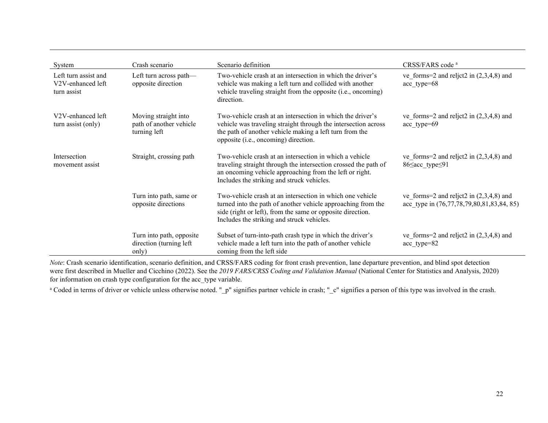| System                                                                | Crash scenario                                                  | Scenario definition                                                                                                                                                                                                                   | CRSS/FARS code <sup>a</sup>                                                            |
|-----------------------------------------------------------------------|-----------------------------------------------------------------|---------------------------------------------------------------------------------------------------------------------------------------------------------------------------------------------------------------------------------------|----------------------------------------------------------------------------------------|
| Left turn assist and<br>V <sub>2</sub> V-enhanced left<br>turn assist | Left turn across path-<br>opposite direction                    | Two-vehicle crash at an intersection in which the driver's<br>vehicle was making a left turn and collided with another<br>vehicle traveling straight from the opposite (i.e., oncoming)<br>direction.                                 | ve forms=2 and reljet2 in $(2,3,4,8)$ and<br>acc type=68                               |
| V <sub>2</sub> V-enhanced left<br>turn assist (only)                  | Moving straight into<br>path of another vehicle<br>turning left | Two-vehicle crash at an intersection in which the driver's<br>vehicle was traveling straight through the intersection across<br>the path of another vehicle making a left turn from the<br>opposite (i.e., oncoming) direction.       | ve forms=2 and reljet2 in $(2,3,4,8)$ and<br>acc type=69                               |
| Intersection<br>movement assist                                       | Straight, crossing path                                         | Two-vehicle crash at an intersection in which a vehicle<br>traveling straight through the intersection crossed the path of<br>an oncoming vehicle approaching from the left or right.<br>Includes the striking and struck vehicles.   | ve forms=2 and reljet2 in $(2,3,4,8)$ and<br>86≤acc type≤91                            |
|                                                                       | Turn into path, same or<br>opposite directions                  | Two-vehicle crash at an intersection in which one vehicle<br>turned into the path of another vehicle approaching from the<br>side (right or left), from the same or opposite direction.<br>Includes the striking and struck vehicles. | ve forms=2 and reljet2 in $(2,3,4,8)$ and<br>acc type in (76,77,78,79,80,81,83,84, 85) |
|                                                                       | Turn into path, opposite<br>direction (turning left<br>only)    | Subset of turn-into-path crash type in which the driver's<br>vehicle made a left turn into the path of another vehicle<br>coming from the left side                                                                                   | ve forms=2 and reljet2 in $(2,3,4,8)$ and<br>acc_type=82                               |

*Note*: Crash scenario identification, scenario definition, and CRSS/FARS coding for front crash prevention, lane departure prevention, and blind spot detection were first described in Mueller and Cicchino (2022). See the *2019 FARS/CRSS Coding and Validation Manual* (National Center for Statistics and Analysis, 2020) for information on crash type configuration for the acc\_type variable.

<sup>a</sup> Coded in terms of driver or vehicle unless otherwise noted. "\_p" signifies partner vehicle in crash; "\_c" signifies a person of this type was involved in the crash.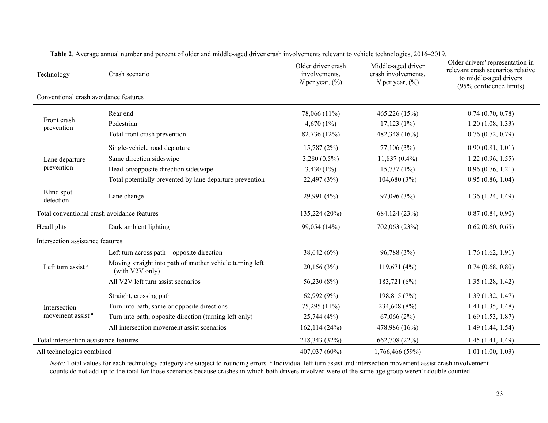| Technology                                   | Crash scenario                                                               | Older driver crash<br>involvements,<br>N per year, $(\%)$ | Middle-aged driver<br>crash involvements,<br>N per year, $(\%)$ | Older drivers' representation in<br>relevant crash scenarios relative<br>to middle-aged drivers<br>(95% confidence limits) |
|----------------------------------------------|------------------------------------------------------------------------------|-----------------------------------------------------------|-----------------------------------------------------------------|----------------------------------------------------------------------------------------------------------------------------|
| Conventional crash avoidance features        |                                                                              |                                                           |                                                                 |                                                                                                                            |
| Front crash<br>prevention                    | Rear end                                                                     | 78,066 (11%)                                              | 465,226 (15%)                                                   | 0.74(0.70, 0.78)                                                                                                           |
|                                              | Pedestrian                                                                   | 4,670 $(1\%)$                                             | $17,123(1\%)$                                                   | 1.20(1.08, 1.33)                                                                                                           |
|                                              | Total front crash prevention                                                 | 82,736 (12%)                                              | 482,348 (16%)                                                   | 0.76(0.72, 0.79)                                                                                                           |
|                                              | Single-vehicle road departure                                                | 15,787 (2%)                                               | 77,106 (3%)                                                     | 0.90(0.81, 1.01)                                                                                                           |
| Lane departure                               | Same direction sideswipe                                                     | $3,280(0.5\%)$                                            | $11,837(0.4\%)$                                                 | 1.22(0.96, 1.55)                                                                                                           |
| prevention                                   | Head-on/opposite direction sideswipe                                         | 3,430 $(1\%)$                                             | $15,737(1\%)$                                                   | 0.96(0.76, 1.21)                                                                                                           |
|                                              | Total potentially prevented by lane departure prevention                     | 22,497 (3%)                                               | 104,680 (3%)                                                    | 0.95(0.86, 1.04)                                                                                                           |
| Blind spot<br>detection                      | Lane change                                                                  | 29,991 (4%)                                               | 97,096 (3%)                                                     | 1.36(1.24, 1.49)                                                                                                           |
| Total conventional crash avoidance features  |                                                                              | 135,224 (20%)                                             | 684,124 (23%)                                                   | 0.87(0.84, 0.90)                                                                                                           |
| Headlights                                   | Dark ambient lighting                                                        | 99,054 (14%)                                              | 702,063 (23%)                                                   | 0.62(0.60, 0.65)                                                                                                           |
| Intersection assistance features             |                                                                              |                                                           |                                                                 |                                                                                                                            |
| Left turn assist <sup>a</sup>                | Left turn across path – opposite direction                                   | 38,642 (6%)                                               | 96,788 (3%)                                                     | 1.76(1.62, 1.91)                                                                                                           |
|                                              | Moving straight into path of another vehicle turning left<br>(with V2V only) | 20,156 (3%)                                               | 119,671 (4%)                                                    | 0.74(0.68, 0.80)                                                                                                           |
|                                              | All V2V left turn assist scenarios                                           | 56,230 (8%)                                               | 183,721 (6%)                                                    | 1.35(1.28, 1.42)                                                                                                           |
| Intersection<br>movement assist <sup>a</sup> | Straight, crossing path                                                      | 62,992 (9%)                                               | 198,815 (7%)                                                    | 1.39(1.32, 1.47)                                                                                                           |
|                                              | Turn into path, same or opposite directions                                  | 75,295 (11%)                                              | 234,608 (8%)                                                    | 1.41(1.35, 1.48)                                                                                                           |
|                                              | Turn into path, opposite direction (turning left only)                       | 25,744 (4%)                                               | 67,066(2%)                                                      | 1.69(1.53, 1.87)                                                                                                           |
|                                              | All intersection movement assist scenarios                                   | 162, 114(24%)                                             | 478,986 (16%)                                                   | 1.49(1.44, 1.54)                                                                                                           |
| Total intersection assistance features       |                                                                              | 218,343 (32%)                                             | 662,708 (22%)                                                   | 1.45(1.41, 1.49)                                                                                                           |
| All technologies combined                    |                                                                              | 407,037 (60%)                                             | 1,766,466 (59%)                                                 | 1.01(1.00, 1.03)                                                                                                           |

**Table 2**. Average annual number and percent of older and middle-aged driver crash involvements relevant to vehicle technologies, 2016–2019.

*Note*: Total values for each technology category are subject to rounding errors.<sup>a</sup> Individual left turn assist and intersection movement assist crash involvement counts do not add up to the total for those scenarios because crashes in which both drivers involved were of the same age group weren't double counted.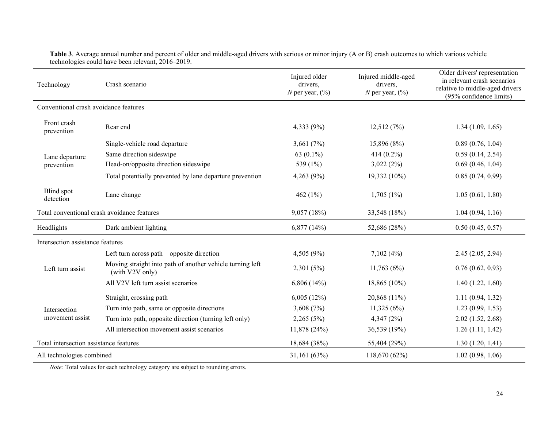| Technology                                  | Crash scenario                                                               | Injured older<br>drivers,<br>N per year, $(\%)$ | Injured middle-aged<br>drivers,<br>N per year, $(\%)$ | Older drivers' representation<br>in relevant crash scenarios<br>relative to middle-aged drivers<br>(95% confidence limits) |
|---------------------------------------------|------------------------------------------------------------------------------|-------------------------------------------------|-------------------------------------------------------|----------------------------------------------------------------------------------------------------------------------------|
| Conventional crash avoidance features       |                                                                              |                                                 |                                                       |                                                                                                                            |
| Front crash<br>prevention                   | Rear end                                                                     | 4,333 (9%)                                      | 12,512(7%)                                            | 1.34(1.09, 1.65)                                                                                                           |
|                                             | Single-vehicle road departure                                                | 3,661 $(7%)$                                    | 15,896 (8%)                                           | 0.89(0.76, 1.04)                                                                                                           |
| Lane departure                              | Same direction sideswipe                                                     | 63 $(0.1\%)$                                    | 414 (0.2%)                                            | 0.59(0.14, 2.54)                                                                                                           |
| prevention                                  | Head-on/opposite direction sideswipe                                         | 539 (1%)                                        | 3,022(2%)                                             | 0.69(0.46, 1.04)                                                                                                           |
|                                             | Total potentially prevented by lane departure prevention                     | 4,263 (9%)                                      | 19,332 (10%)                                          | 0.85(0.74, 0.99)                                                                                                           |
| Blind spot<br>detection                     | Lane change                                                                  | 462 $(1\%)$                                     | $1,705(1\%)$                                          | 1.05(0.61, 1.80)                                                                                                           |
| Total conventional crash avoidance features |                                                                              | 9,057 (18%)                                     | 33,548 (18%)                                          | 1.04(0.94, 1.16)                                                                                                           |
| Headlights                                  | Dark ambient lighting                                                        | 6,877(14%)                                      | 52,686 (28%)                                          | 0.50(0.45, 0.57)                                                                                                           |
| Intersection assistance features            |                                                                              |                                                 |                                                       |                                                                                                                            |
| Left turn assist                            | Left turn across path—opposite direction                                     | 4,505 (9%)                                      | 7,102(4%)                                             | 2.45(2.05, 2.94)                                                                                                           |
|                                             | Moving straight into path of another vehicle turning left<br>(with V2V only) | 2,301 (5%)                                      | 11,763(6%)                                            | 0.76(0.62, 0.93)                                                                                                           |
|                                             | All V2V left turn assist scenarios                                           | 6,806(14%)                                      | 18,865 (10%)                                          | 1.40(1.22, 1.60)                                                                                                           |
| Intersection<br>movement assist             | Straight, crossing path                                                      | 6,005(12%)                                      | 20,868 (11%)                                          | 1.11(0.94, 1.32)                                                                                                           |
|                                             | Turn into path, same or opposite directions                                  | 3,608 $(7%)$                                    | 11,325(6%)                                            | 1.23(0.99, 1.53)                                                                                                           |
|                                             | Turn into path, opposite direction (turning left only)                       | 2,265(5%)                                       | 4,347(2%)                                             | 2.02(1.52, 2.68)                                                                                                           |
|                                             | All intersection movement assist scenarios                                   | 11,878 (24%)                                    | 36,539 (19%)                                          | 1.26(1.11, 1.42)                                                                                                           |
| Total intersection assistance features      |                                                                              | 18,684 (38%)                                    | 55,404 (29%)                                          | 1.30(1.20, 1.41)                                                                                                           |
| All technologies combined                   |                                                                              | 31,161 (63%)                                    | 118,670 (62%)                                         | 1.02(0.98, 1.06)                                                                                                           |

**Table 3**. Average annual number and percent of older and middle-aged drivers with serious or minor injury (A or B) crash outcomes to which various vehicle technologies could have been relevant, 2016–2019.

*Note:* Total values for each technology category are subject to rounding errors.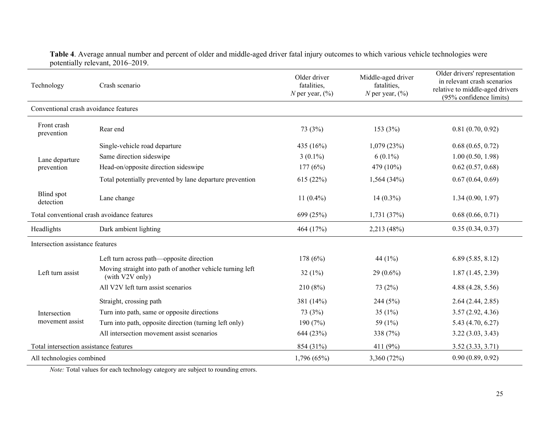| Technology                                  | Crash scenario                                                               | Older driver<br>fatalities,<br>N per year, $(\%)$ | Middle-aged driver<br>fatalities,<br>N per year, $(\%)$ | Older drivers' representation<br>in relevant crash scenarios<br>relative to middle-aged drivers<br>(95% confidence limits) |
|---------------------------------------------|------------------------------------------------------------------------------|---------------------------------------------------|---------------------------------------------------------|----------------------------------------------------------------------------------------------------------------------------|
| Conventional crash avoidance features       |                                                                              |                                                   |                                                         |                                                                                                                            |
| Front crash<br>prevention                   | Rear end                                                                     | 73 (3%)                                           | 153 (3%)                                                | 0.81(0.70, 0.92)                                                                                                           |
|                                             | Single-vehicle road departure                                                | 435 (16%)                                         | 1,079(23%)                                              | 0.68(0.65, 0.72)                                                                                                           |
| Lane departure                              | Same direction sideswipe                                                     | $3(0.1\%)$                                        | $6(0.1\%)$                                              | 1.00(0.50, 1.98)                                                                                                           |
| prevention                                  | Head-on/opposite direction sideswipe                                         | 177(6%)                                           | 479 (10%)                                               | 0.62(0.57, 0.68)                                                                                                           |
|                                             | Total potentially prevented by lane departure prevention                     | 615 (22%)                                         | 1,564(34%)                                              | 0.67(0.64, 0.69)                                                                                                           |
| <b>Blind</b> spot<br>detection              | Lane change                                                                  | 11 $(0.4\%)$                                      | $14(0.3\%)$                                             | 1.34(0.90, 1.97)                                                                                                           |
| Total conventional crash avoidance features |                                                                              | 699 (25%)                                         | 1,731(37%)                                              | 0.68(0.66, 0.71)                                                                                                           |
| Headlights                                  | Dark ambient lighting                                                        | 464 (17%)                                         | 2,213 (48%)                                             | 0.35(0.34, 0.37)                                                                                                           |
| Intersection assistance features            |                                                                              |                                                   |                                                         |                                                                                                                            |
| Left turn assist                            | Left turn across path—opposite direction                                     | 178 (6%)                                          | 44 $(1%)$                                               | 6.89(5.85, 8.12)                                                                                                           |
|                                             | Moving straight into path of another vehicle turning left<br>(with V2V only) | 32 $(1\%)$                                        | $29(0.6\%)$                                             | 1.87(1.45, 2.39)                                                                                                           |
|                                             | All V2V left turn assist scenarios                                           | 210 (8%)                                          | 73 (2%)                                                 | 4.88 (4.28, 5.56)                                                                                                          |
| Intersection<br>movement assist             | Straight, crossing path                                                      | 381 (14%)                                         | 244 (5%)                                                | 2.64(2.44, 2.85)                                                                                                           |
|                                             | Turn into path, same or opposite directions                                  | 73 (3%)                                           | 35 $(1%)$                                               | 3.57(2.92, 4.36)                                                                                                           |
|                                             | Turn into path, opposite direction (turning left only)                       | 190 (7%)                                          | 59 (1%)                                                 | 5.43 (4.70, 6.27)                                                                                                          |
|                                             | All intersection movement assist scenarios                                   | 644 (23%)                                         | 338 (7%)                                                | 3.22(3.03, 3.43)                                                                                                           |
| Total intersection assistance features      |                                                                              | 854 (31%)                                         | 411 (9%)                                                | 3.52(3.33, 3.71)                                                                                                           |
| All technologies combined                   |                                                                              | 1,796(65%)                                        | 3,360 (72%)                                             | 0.90(0.89, 0.92)                                                                                                           |

## **Table 4**. Average annual number and percent of older and middle-aged driver fatal injury outcomes to which various vehicle technologies were potentially relevant, 2016–2019.

*Note:* Total values for each technology category are subject to rounding errors.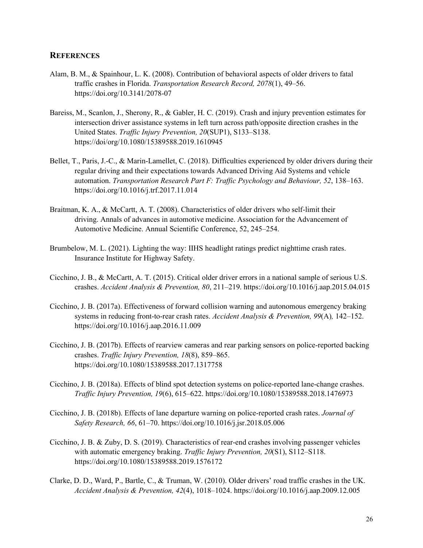#### <span id="page-25-0"></span>**REFERENCES**

- Alam, B. M., & Spainhour, L. K. (2008). Contribution of behavioral aspects of older drivers to fatal traffic crashes in Florida. *Transportation Research Record, 2078*(1), 49–56. https://doi.org/10.3141/2078-07
- Bareiss, M., Scanlon, J., Sherony, R., & Gabler, H. C. (2019). Crash and injury prevention estimates for intersection driver assistance systems in left turn across path/opposite direction crashes in the United States. *Traffic Injury Prevention, 20*(SUP1), S133–S138. https://doi/org/10.1080/15389588.2019.1610945
- Bellet, T., Paris, J.-C., & Marin-Lamellet, C. (2018). Difficulties experienced by older drivers during their regular driving and their expectations towards Advanced Driving Aid Systems and vehicle automation. *Transportation Research Part F: Traffic Psychology and Behaviour, 52*, 138–163. https://doi.org/10.1016/j.trf.2017.11.014
- Braitman, K. A., & McCartt, A. T. (2008). Characteristics of older drivers who self-limit their driving. Annals of advances in automotive medicine. Association for the Advancement of Automotive Medicine. Annual Scientific Conference, 52, 245–254.
- Brumbelow, M. L. (2021). Lighting the way: IIHS headlight ratings predict nighttime crash rates. Insurance Institute for Highway Safety.
- Cicchino, J. B., & McCartt, A. T. (2015). Critical older driver errors in a national sample of serious U.S. crashes. *Accident Analysis & Prevention, 80*, 211–219. https://doi.org/10.1016/j.aap.2015.04.015
- Cicchino, J. B. (2017a). Effectiveness of forward collision warning and autonomous emergency braking systems in reducing front-to-rear crash rates. *Accident Analysis & Prevention, 99*(A)*,* 142–152. https://doi.org/10.1016/j.aap.2016.11.009
- Cicchino, J. B. (2017b). Effects of rearview cameras and rear parking sensors on police-reported backing crashes. *Traffic Injury Prevention, 18*(8), 859–865. https://doi.org/10.1080/15389588.2017.1317758
- Cicchino, J. B. (2018a). Effects of blind spot detection systems on police-reported lane-change crashes. *Traffic Injury Prevention, 19*(6), 615–622. https://doi.org/10.1080/15389588.2018.1476973
- Cicchino, J. B. (2018b). Effects of lane departure warning on police-reported crash rates. *Journal of Safety Research, 66*, 61–70. https://doi.org/10.1016/j.jsr.2018.05.006
- Cicchino, J. B. & Zuby, D. S. (2019). Characteristics of rear-end crashes involving passenger vehicles with automatic emergency braking. *Traffic Injury Prevention, 20*(S1), S112–S118. https://doi.org/10.1080/15389588.2019.1576172
- Clarke, D. D., Ward, P., Bartle, C., & Truman, W. (2010). Older drivers' road traffic crashes in the UK. *Accident Analysis & Prevention, 42*(4), 1018–1024. https://doi.org/10.1016/j.aap.2009.12.005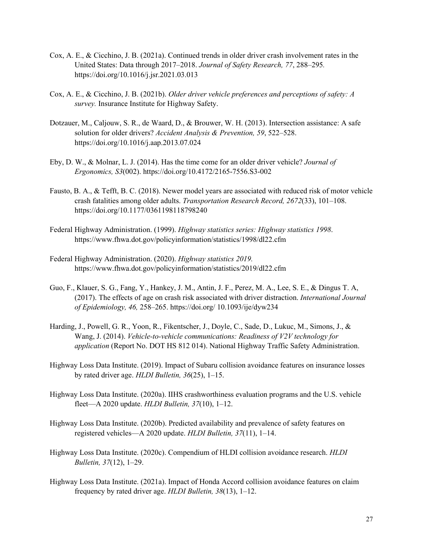- Cox, A. E., & Cicchino, J. B. (2021a). Continued trends in older driver crash involvement rates in the United States: Data through 2017–2018. *Journal of Safety Research, 77*, 288–295*.*  https://doi.org/10.1016/j.jsr.2021.03.013
- Cox, A. E., & Cicchino, J. B. (2021b). *Older driver vehicle preferences and perceptions of safety: A survey.* Insurance Institute for Highway Safety.
- Dotzauer, M., Caljouw, S. R., de Waard, D., & Brouwer, W. H. (2013). Intersection assistance: A safe solution for older drivers? *Accident Analysis & Prevention, 59*, 522–528. <https://doi.org/10.1016/j.aap.2013.07.024>
- Eby, D. W., & Molnar, L. J. (2014). Has the time come for an older driver vehicle? *Journal of Ergonomics, S3*(002). https://doi.org/10.4172/2165-7556.S3-002
- Fausto, B. A., & Tefft, B. C. (2018). Newer model years are associated with reduced risk of motor vehicle crash fatalities among older adults. *Transportation Research Record, 2672*(33), 101–108. https://doi.org/10.1177/0361198118798240
- Federal Highway Administration. (1999). *Highway statistics series: Highway statistics 1998*. https://www.fhwa.dot.gov/policyinformation/statistics/1998/dl22.cfm
- Federal Highway Administration. (2020). *Highway statistics 2019.*  https://www.fhwa.dot.gov/policyinformation/statistics/2019/dl22.cfm
- Guo, F., Klauer, S. G., Fang, Y., Hankey, J. M., Antin, J. F., Perez, M. A., Lee, S. E., & Dingus T. A, (2017). The effects of age on crash risk associated with driver distraction. *International Journal of Epidemiology, 46,* 258–265. https://doi.org/ 10.1093/ije/dyw234
- Harding, J., Powell, G. R., Yoon, R., Fikentscher, J., Doyle, C., Sade, D., Lukuc, M., Simons, J., & Wang, J. (2014). *Vehicle-to-vehicle communications: Readiness of V2V technology for application* (Report No. DOT HS 812 014). National Highway Traffic Safety Administration.
- Highway Loss Data Institute. (2019). Impact of Subaru collision avoidance features on insurance losses by rated driver age. *HLDI Bulletin, 36*(25), 1–15.
- Highway Loss Data Institute. (2020a). IIHS crashworthiness evaluation programs and the U.S. vehicle fleet—A 2020 update. *HLDI Bulletin, 37*(10), 1–12.
- Highway Loss Data Institute. (2020b). Predicted availability and prevalence of safety features on registered vehicles—A 2020 update. *HLDI Bulletin, 37*(11), 1–14.
- Highway Loss Data Institute. (2020c). Compendium of HLDI collision avoidance research. *HLDI Bulletin, 37*(12), 1–29.
- Highway Loss Data Institute. (2021a). Impact of Honda Accord collision avoidance features on claim frequency by rated driver age. *HLDI Bulletin, 38*(13), 1–12.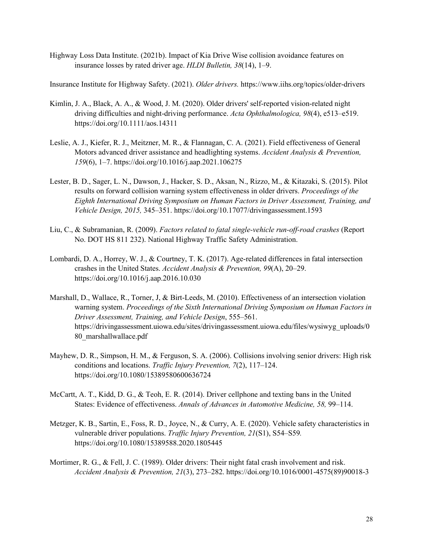Highway Loss Data Institute. (2021b). Impact of Kia Drive Wise collision avoidance features on insurance losses by rated driver age. *HLDI Bulletin, 38*(14), 1–9.

Insurance Institute for Highway Safety. (2021). *Older drivers.* https://www.iihs.org/topics/older-drivers

- Kimlin, J. A., Black, A. A., & Wood, J. M. (2020). Older drivers' self-reported vision-related night driving difficulties and night-driving performance. *Acta Ophthalmologica, 98*(4), e513–e519. https://doi.org/10.1111/aos.14311
- Leslie, A. J., Kiefer, R. J., Meitzner, M. R., & Flannagan, C. A. (2021). Field effectiveness of General Motors advanced driver assistance and headlighting systems. *Accident Analysis & Prevention, 159*(6), 1–7. https://doi.org/10.1016/j.aap.2021.106275
- Lester, B. D., Sager, L. N., Dawson, J., Hacker, S. D., Aksan, N., Rizzo, M., & Kitazaki, S. (2015). Pilot results on forward collision warning system effectiveness in older drivers. *Proceedings of the Eighth International Driving Symposium on Human Factors in Driver Assessment, Training, and Vehicle Design, 2015,* 345–351. https://doi.org/10.17077/drivingassessment.1593
- Liu, C., & Subramanian, R. (2009). *Factors related to fatal single-vehicle run-off-road crashes* (Report No. DOT HS 811 232). National Highway Traffic Safety Administration.
- Lombardi, D. A., Horrey, W. J., & Courtney, T. K. (2017). Age-related differences in fatal intersection crashes in the United States. *Accident Analysis & Prevention, 99*(A), 20–29. https://doi.org/10.1016/j.aap.2016.10.030
- Marshall, D., Wallace, R., Torner, J, & Birt-Leeds, M. (2010). Effectiveness of an intersection violation warning system. *Proceedings of the Sixth International Driving Symposium on Human Factors in Driver Assessment, Training, and Vehicle Design*, 555–561. https://drivingassessment.uiowa.edu/sites/drivingassessment.uiowa.edu/files/wysiwyg\_uploads/0 80\_marshallwallace.pdf
- Mayhew, D. R., Simpson, H. M., & Ferguson, S. A. (2006). Collisions involving senior drivers: High risk conditions and locations. *Traffic Injury Prevention, 7*(2), 117–124. https://doi.org/10.1080/15389580600636724
- McCartt, A. T., Kidd, D. G., & Teoh, E. R. (2014). Driver cellphone and texting bans in the United States: Evidence of effectiveness. *Annals of Advances in Automotive Medicine, 58,* 99–114.
- Metzger, K. B., Sartin, E., Foss, R. D., Joyce, N., & Curry, A. E. (2020). Vehicle safety characteristics in vulnerable driver populations. *Traffic Injury Prevention, 21*(S1), S54–S59*.*  https://doi.org/10.1080/15389588.2020.1805445
- Mortimer, R. G., & Fell, J. C. (1989). Older drivers: Their night fatal crash involvement and risk. *Accident Analysis & Prevention, 21*(3), 273–282. https://doi.org/10.1016/0001-4575(89)90018-3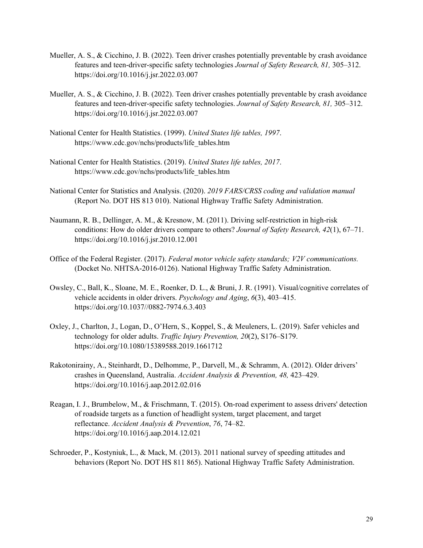- Mueller, A. S., & Cicchino, J. B. (2022). Teen driver crashes potentially preventable by crash avoidance features and teen-driver-specific safety technologies *Journal of Safety Research, 81,* 305–312. https://doi.org/10.1016/j.jsr.2022.03.007
- Mueller, A. S., & Cicchino, J. B. (2022). Teen driver crashes potentially preventable by crash avoidance features and teen-driver-specific safety technologies. *Journal of Safety Research, 81,* 305–312. https://doi.org/10.1016/j.jsr.2022.03.007
- National Center for Health Statistics. (1999). *United States life tables, 1997*. https://www.cdc.gov/nchs/products/life\_tables.htm
- National Center for Health Statistics. (2019). *United States life tables, 2017*. https://www.cdc.gov/nchs/products/life\_tables.htm
- National Center for Statistics and Analysis. (2020). *2019 FARS/CRSS coding and validation manual* (Report No. DOT HS 813 010). National Highway Traffic Safety Administration.
- Naumann, R. B., Dellinger, A. M., & Kresnow, M. (2011). Driving self-restriction in high-risk conditions: How do older drivers compare to others? *Journal of Safety Research, 42*(1), 67–71. https://doi.org/10.1016/j.jsr.2010.12.001
- Office of the Federal Register. (2017). *Federal motor vehicle safety standards; V2V communications.* (Docket No. NHTSA-2016-0126). National Highway Traffic Safety Administration.
- Owsley, C., Ball, K., Sloane, M. E., Roenker, D. L., & Bruni, J. R. (1991). Visual/cognitive correlates of vehicle accidents in older drivers. *Psychology and Aging*, *6*(3), 403–415. https://doi.org/10.1037//0882-7974.6.3.403
- Oxley, J., Charlton, J., Logan, D., O'Hern, S., Koppel, S., & Meuleners, L. (2019). Safer vehicles and technology for older adults. *Traffic Injury Prevention, 20*(2), S176–S179. https://doi.org/10.1080/15389588.2019.1661712
- Rakotonirainy, A., Steinhardt, D., Delhomme, P., Darvell, M., & Schramm, A. (2012). Older drivers' crashes in Queensland, Australia. *Accident Analysis & Prevention, 48,* 423–429. https://doi.org/10.1016/j.aap.2012.02.016
- Reagan, I. J., Brumbelow, M., & Frischmann, T. (2015). On-road experiment to assess drivers' detection of roadside targets as a function of headlight system, target placement, and target reflectance. *Accident Analysis & Prevention*, *76*, 74–82. https://doi.org/10.1016/j.aap.2014.12.021
- Schroeder, P., Kostyniuk, L., & Mack, M. (2013). 2011 national survey of speeding attitudes and behaviors (Report No. DOT HS 811 865). National Highway Traffic Safety Administration.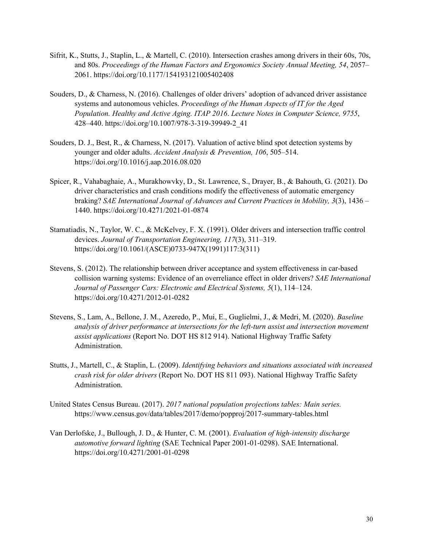- Sifrit, K., Stutts, J., Staplin, L., & Martell, C. (2010). Intersection crashes among drivers in their 60s, 70s, and 80s. *Proceedings of the Human Factors and Ergonomics Society Annual Meeting, 54*, 2057– 2061. https://doi.org/10.1177/154193121005402408
- Souders, D., & Charness, N. (2016). Challenges of older drivers' adoption of advanced driver assistance systems and autonomous vehicles. *Proceedings of the Human Aspects of IT for the Aged Population. Healthy and Active Aging. ITAP 2016*. *Lecture Notes in Computer Science, 9755*, 428–440. https://doi.org/10.1007/978-3-319-39949-2\_41
- Souders, D. J., Best, R., & Charness, N. (2017). Valuation of active blind spot detection systems by younger and older adults. *Accident Analysis & Prevention, 106*, 505–514. https://doi.org/10.1016/j.aap.2016.08.020
- Spicer, R., Vahabaghaie, A., Murakhowvky, D., St. Lawrence, S., Drayer, B., & Bahouth, G. (2021). Do driver characteristics and crash conditions modify the effectiveness of automatic emergency braking? *SAE International Journal of Advances and Current Practices in Mobility, 3*(3), 1436 – 1440. https://doi.org/10.4271/2021-01-0874
- Stamatiadis, N., Taylor, W. C., & McKelvey, F. X. (1991). Older drivers and intersection traffic control devices. *Journal of Transportation Engineering, 117*(3), 311–319. https://doi.org/10.1061/(ASCE)0733-947X(1991)117:3(311)
- Stevens, S. (2012). The relationship between driver acceptance and system effectiveness in car-based collision warning systems: Evidence of an overreliance effect in older drivers? *SAE International Journal of Passenger Cars: Electronic and Electrical Systems, 5*(1), 114–124. https://doi.org/10.4271/2012-01-0282
- Stevens, S., Lam, A., Bellone, J. M., Azeredo, P., Mui, E., Guglielmi, J., & Medri, M. (2020). *Baseline analysis of driver performance at intersections for the left-turn assist and intersection movement assist applications* (Report No. DOT HS 812 914). National Highway Traffic Safety Administration.
- Stutts, J., Martell, C., & Staplin, L. (2009). *Identifying behaviors and situations associated with increased crash risk for older drivers* (Report No. DOT HS 811 093). National Highway Traffic Safety Administration.
- United States Census Bureau. (2017). *2017 national population projections tables: Main series.* https://www.census.gov/data/tables/2017/demo/popproj/2017-summary-tables.html
- Van Derlofske, J., Bullough, J. D., & Hunter, C. M. (2001). *Evaluation of high-intensity discharge automotive forward lighting* (SAE Technical Paper 2001-01-0298). SAE International. https://doi.org/10.4271/2001-01-0298